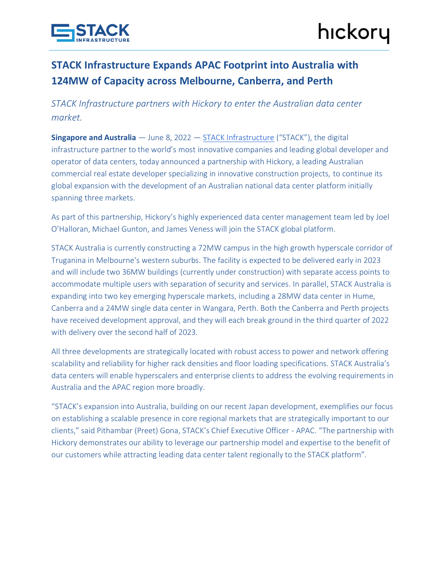

## **STACK Infrastructure Expands APAC Footprint into Australia with 124MW of Capacity across Melbourne, Canberra, and Perth**

*STACK Infrastructure partners with Hickory to enter the Australian data center market.*

**Singapore and Australia** — June 8, 2022 — [STACK Infrastructure](https://www.stackinfra.com/) ("STACK"), the digital infrastructure partner to the world's most innovative companies and leading global developer and operator of data centers, today announced a partnership with Hickory, a leading Australian commercial real estate developer specializing in innovative construction projects, to continue its global expansion with the development of an Australian national data center platform initially spanning three markets.

As part of this partnership, Hickory's highly experienced data center management team led by Joel O'Halloran, Michael Gunton, and James Veness will join the STACK global platform.

STACK Australia is currently constructing a 72MW campus in the high growth hyperscale corridor of Truganina in Melbourne's western suburbs. The facility is expected to be delivered early in 2023 and will include two 36MW buildings (currently under construction) with separate access points to accommodate multiple users with separation of security and services. In parallel, STACK Australia is expanding into two key emerging hyperscale markets, including a 28MW data center in Hume, Canberra and a 24MW single data center in Wangara, Perth. Both the Canberra and Perth projects have received development approval, and they will each break ground in the third quarter of 2022 with delivery over the second half of 2023.

All three developments are strategically located with robust access to power and network offering scalability and reliability for higher rack densities and floor loading specifications. STACK Australia's data centers will enable hyperscalers and enterprise clients to address the evolving requirements in Australia and the APAC region more broadly.

"STACK's expansion into Australia, building on our recent Japan development, exemplifies our focus on establishing a scalable presence in core regional markets that are strategically important to our clients," said Pithambar (Preet) Gona, STACK's Chief Executive Officer - APAC. "The partnership with Hickory demonstrates our ability to leverage our partnership model and expertise to the benefit of our customers while attracting leading data center talent regionally to the STACK platform".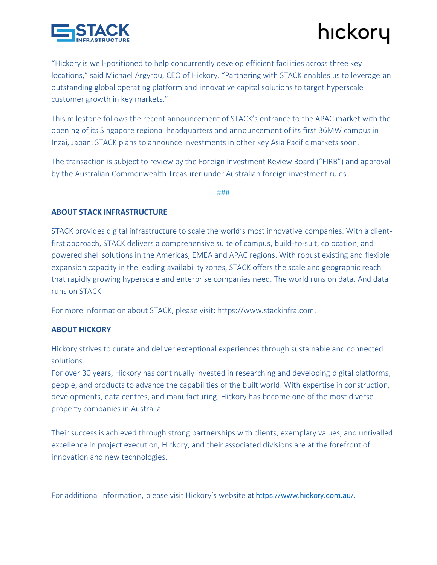

"Hickory is well-positioned to help concurrently develop efficient facilities across three key locations," said Michael Argyrou, CEO of Hickory. "Partnering with STACK enables us to leverage an outstanding global operating platform and innovative capital solutions to target hyperscale customer growth in key markets."

This milestone follows the recent announcement of STACK's entrance to the APAC market with the opening of its Singapore regional headquarters and announcement of its first 36MW campus in Inzai, Japan. STACK plans to announce investments in other key Asia Pacific markets soon.

The transaction is subject to review by the Foreign Investment Review Board ("FIRB") and approval by the Australian Commonwealth Treasurer under Australian foreign investment rules.

###

## **ABOUT STACK INFRASTRUCTURE**

STACK provides digital infrastructure to scale the world's most innovative companies. With a clientfirst approach, STACK delivers a comprehensive suite of campus, build-to-suit, colocation, and powered shell solutions in the Americas, EMEA and APAC regions. With robust existing and flexible expansion capacity in the leading availability zones, STACK offers the scale and geographic reach that rapidly growing hyperscale and enterprise companies need. The world runs on data. And data runs on STACK.

For more information about STACK, please visit: https://www.stackinfra.com.

## **ABOUT HICKORY**

Hickory strives to curate and deliver exceptional experiences through sustainable and connected solutions.

For over 30 years, Hickory has continually invested in researching and developing digital platforms, people, and products to advance the capabilities of the built world. With expertise in construction, developments, data centres, and manufacturing, Hickory has become one of the most diverse property companies in Australia.

Their success is achieved through strong partnerships with clients, exemplary values, and unrivalled excellence in project execution, Hickory, and their associated divisions are at the forefront of innovation and new technologies.

For additional information, please visit Hickory's website at [https://www.hickory.com.au/.](https://www.hickory.com.au/)